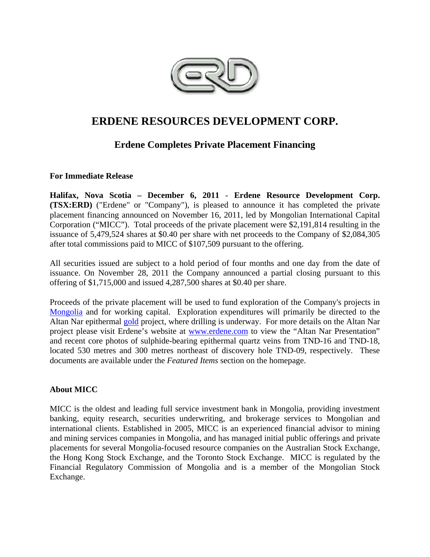

# **ERDENE RESOURCES DEVELOPMENT CORP.**

## **Erdene Completes Private Placement Financing**

## **For Immediate Release**

**Halifax, Nova Scotia – December 6, 2011** - **Erdene Resource Development Corp. (TSX:ERD)** ("Erdene" or "Company"), is pleased to announce it has completed the private placement financing announced on November 16, 2011, led by Mongolian International Capital Corporation ("MICC"). Total proceeds of the private placement were \$2,191,814 resulting in the issuance of 5,479,524 shares at \$0.40 per share with net proceeds to the Company of \$2,084,305 after total commissions paid to MICC of \$107,509 pursuant to the offering.

All securities issued are subject to a hold period of four months and one day from the date of issuance. On November 28, 2011 the Company announced a partial closing pursuant to this offering of \$1,715,000 and issued 4,287,500 shares at \$0.40 per share.

Proceeds of the private placement will be used to fund exploration of the Company's projects in Mongolia and for working capital. Exploration expenditures will primarily be directed to the Altan Nar epithermal gold project, where drilling is underway. For more details on the Altan Nar project please visit Erdene's website at www.erdene.com to view the "Altan Nar Presentation" and recent core photos of sulphide-bearing epithermal quartz veins from TND-16 and TND-18, located 530 metres and 300 metres northeast of discovery hole TND-09, respectively. These documents are available under the *Featured Items* section on the homepage.

## **About MICC**

MICC is the oldest and leading full service investment bank in Mongolia, providing investment banking, equity research, securities underwriting, and brokerage services to Mongolian and international clients. Established in 2005, MICC is an experienced financial advisor to mining and mining services companies in Mongolia, and has managed initial public offerings and private placements for several Mongolia-focused resource companies on the Australian Stock Exchange, the Hong Kong Stock Exchange, and the Toronto Stock Exchange. MICC is regulated by the Financial Regulatory Commission of Mongolia and is a member of the Mongolian Stock Exchange.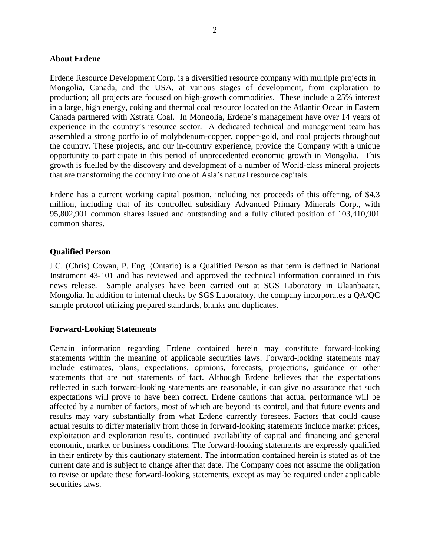#### **About Erdene**

Erdene Resource Development Corp. is a diversified resource company with multiple projects in Mongolia, Canada, and the USA, at various stages of development, from exploration to production; all projects are focused on high-growth commodities. These include a 25% interest in a large, high energy, coking and thermal coal resource located on the Atlantic Ocean in Eastern Canada partnered with Xstrata Coal. In Mongolia, Erdene's management have over 14 years of experience in the country's resource sector. A dedicated technical and management team has assembled a strong portfolio of molybdenum-copper, copper-gold, and coal projects throughout the country. These projects, and our in-country experience, provide the Company with a unique opportunity to participate in this period of unprecedented economic growth in Mongolia. This growth is fuelled by the discovery and development of a number of World-class mineral projects that are transforming the country into one of Asia's natural resource capitals.

Erdene has a current working capital position, including net proceeds of this offering, of \$4.3 million, including that of its controlled subsidiary Advanced Primary Minerals Corp., with 95,802,901 common shares issued and outstanding and a fully diluted position of 103,410,901 common shares.

#### **Qualified Person**

J.C. (Chris) Cowan, P. Eng. (Ontario) is a Qualified Person as that term is defined in National Instrument 43-101 and has reviewed and approved the technical information contained in this news release. Sample analyses have been carried out at SGS Laboratory in Ulaanbaatar, Mongolia. In addition to internal checks by SGS Laboratory, the company incorporates a QA/QC sample protocol utilizing prepared standards, blanks and duplicates.

#### **Forward-Looking Statements**

Certain information regarding Erdene contained herein may constitute forward-looking statements within the meaning of applicable securities laws. Forward-looking statements may include estimates, plans, expectations, opinions, forecasts, projections, guidance or other statements that are not statements of fact. Although Erdene believes that the expectations reflected in such forward-looking statements are reasonable, it can give no assurance that such expectations will prove to have been correct. Erdene cautions that actual performance will be affected by a number of factors, most of which are beyond its control, and that future events and results may vary substantially from what Erdene currently foresees. Factors that could cause actual results to differ materially from those in forward-looking statements include market prices, exploitation and exploration results, continued availability of capital and financing and general economic, market or business conditions. The forward-looking statements are expressly qualified in their entirety by this cautionary statement. The information contained herein is stated as of the current date and is subject to change after that date. The Company does not assume the obligation to revise or update these forward-looking statements, except as may be required under applicable securities laws.